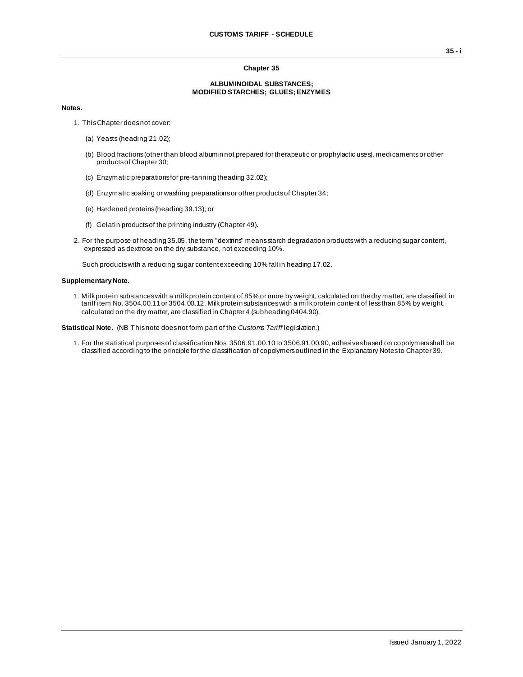## **Chapter 35**

## **ALBUMINOIDAL SUBSTANCES; MODIFIED STARCHES; GLUES; ENZYMES**

## **Notes.**

- 1. This Chapter does not cover:
	- (a) Yeasts (heading 21.02);
	- (b) Blood fractions (other than blood albumin not prepared for therapeutic or prophylactic uses), medicaments or other products of Chapter 30;
	- (c) Enzymatic preparations for pre-tanning (heading 32.02);
	- (d) Enzymatic soaking or washing preparations or other products of Chapter 34;
	- (e) Hardened proteins (heading 39.13); or
	- (f) Gelatin products of the printing industry (Chapter 49).
- 2. For the purpose of heading 35.05, the term "dextrins" means starch degradation products with a reducing sugar content, expressed as dextrose on the dry substance, not exceeding 10%.

Such products with a reducing sugar content exceeding 10% fall in heading 17.02.

## **Supplementary Note.**

1. Milk protein substances with a milk protein content of 85% or more by weight, calculated on the dry matter, are classified in tariff item No. 3504.00.11 or 3504.00.12. Milk protein substances with a milk protein content of less than 85% by weight, calculated on the dry matter, are classified in Chapter 4 (subheading 0404.90).

**Statistical Note.** (NB This note does not form part of the *Customs Tariff* legislation.)

1. For the statistical purposes of classification Nos. 3506.91.00.10 to 3506.91.00.90, adhesives based on copolymers shall be classified according to the principle for the classification of copolymers outlined in the Explanatory Notes to Chapter 39.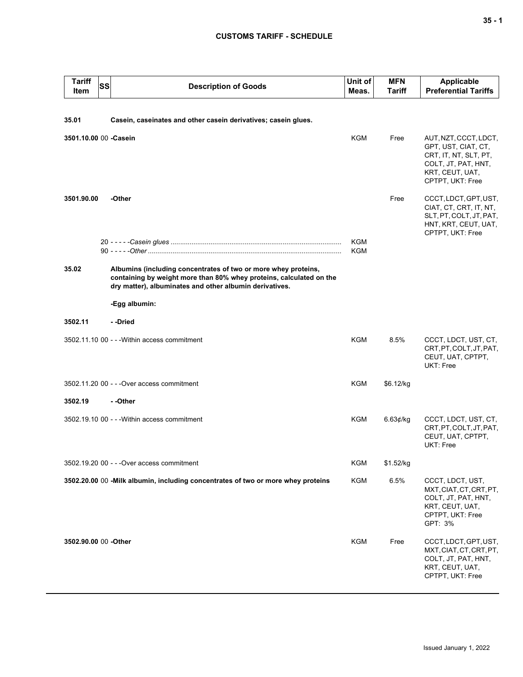| <b>Tariff</b><br>Item                                                   | <b>SS</b> | <b>Description of Goods</b>                                                                                                                                                                      | Unit of<br>Meas. | <b>MFN</b><br>Tariff | <b>Applicable</b><br><b>Preferential Tariffs</b>                                                                                    |  |  |
|-------------------------------------------------------------------------|-----------|--------------------------------------------------------------------------------------------------------------------------------------------------------------------------------------------------|------------------|----------------------|-------------------------------------------------------------------------------------------------------------------------------------|--|--|
|                                                                         |           |                                                                                                                                                                                                  |                  |                      |                                                                                                                                     |  |  |
| 35.01<br>Casein, caseinates and other casein derivatives; casein glues. |           |                                                                                                                                                                                                  |                  |                      |                                                                                                                                     |  |  |
| 3501.10.00 00 - Casein                                                  |           |                                                                                                                                                                                                  | <b>KGM</b>       | Free                 | AUT, NZT, CCCT, LDCT,<br>GPT, UST, CIAT, CT,<br>CRT, IT, NT, SLT, PT,<br>COLT, JT, PAT, HNT,<br>KRT, CEUT, UAT,<br>CPTPT, UKT: Free |  |  |
| 3501.90.00                                                              |           | -Other                                                                                                                                                                                           |                  | Free                 | CCCT, LDCT, GPT, UST,<br>CIAT, CT, CRT, IT, NT,<br>SLT, PT, COLT, JT, PAT,<br>HNT, KRT, CEUT, UAT,<br>CPTPT, UKT: Free              |  |  |
|                                                                         |           |                                                                                                                                                                                                  | <b>KGM</b>       |                      |                                                                                                                                     |  |  |
|                                                                         |           |                                                                                                                                                                                                  | <b>KGM</b>       |                      |                                                                                                                                     |  |  |
| 35.02                                                                   |           | Albumins (including concentrates of two or more whey proteins,<br>containing by weight more than 80% whey proteins, calculated on the<br>dry matter), albuminates and other albumin derivatives. |                  |                      |                                                                                                                                     |  |  |
|                                                                         |           | -Egg albumin:                                                                                                                                                                                    |                  |                      |                                                                                                                                     |  |  |
| 3502.11                                                                 |           | - -Dried                                                                                                                                                                                         |                  |                      |                                                                                                                                     |  |  |
|                                                                         |           | 3502.11.10 00 - - - Within access commitment                                                                                                                                                     | KGM              | 8.5%                 | CCCT, LDCT, UST, CT,<br>CRT, PT, COLT, JT, PAT,<br>CEUT, UAT, CPTPT,<br>UKT: Free                                                   |  |  |
|                                                                         |           | 3502.11.20 00 - - - Over access commitment                                                                                                                                                       | KGM              | \$6.12/kg            |                                                                                                                                     |  |  |
| 3502.19<br>- -Other                                                     |           |                                                                                                                                                                                                  |                  |                      |                                                                                                                                     |  |  |
|                                                                         |           | 3502.19.10 00 - - - Within access commitment                                                                                                                                                     | KGM              | 6.63¢/kg             | CCCT, LDCT, UST, CT,<br>CRT, PT, COLT, JT, PAT,<br>CEUT, UAT, CPTPT,<br><b>UKT: Free</b>                                            |  |  |
|                                                                         |           | 3502.19.20 00 - - - Over access commitment                                                                                                                                                       | KGM              | \$1.52/kg            |                                                                                                                                     |  |  |
|                                                                         |           | 3502.20.00 00 - Milk albumin, including concentrates of two or more whey proteins                                                                                                                | KGM              | 6.5%                 | CCCT, LDCT, UST,<br>MXT, CIAT, CT, CRT, PT,<br>COLT, JT, PAT, HNT,<br>KRT, CEUT, UAT,<br>CPTPT, UKT: Free<br>GPT: 3%                |  |  |
| 3502.90.00 00 - Other                                                   |           |                                                                                                                                                                                                  | KGM              | Free                 | CCCT, LDCT, GPT, UST,<br>MXT, CIAT, CT, CRT, PT,<br>COLT, JT, PAT, HNT,<br>KRT, CEUT, UAT,<br>CPTPT, UKT: Free                      |  |  |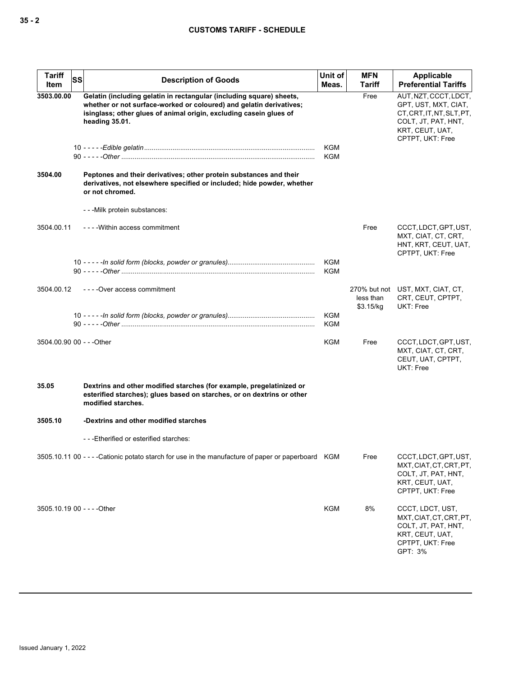| <b>Tariff</b><br>Item       | <b>SS</b> | <b>Description of Goods</b>                                                                                                                                                                                                         | Unit of<br>Meas.         | <b>MFN</b><br>Tariff   | <b>Applicable</b><br><b>Preferential Tariffs</b>                                                                                         |
|-----------------------------|-----------|-------------------------------------------------------------------------------------------------------------------------------------------------------------------------------------------------------------------------------------|--------------------------|------------------------|------------------------------------------------------------------------------------------------------------------------------------------|
| 3503.00.00                  |           | Gelatin (including gelatin in rectangular (including square) sheets,<br>whether or not surface-worked or coloured) and gelatin derivatives;<br>isinglass; other glues of animal origin, excluding casein glues of<br>heading 35.01. |                          | Free                   | AUT, NZT, CCCT, LDCT,<br>GPT, UST, MXT, CIAT,<br>CT, CRT, IT, NT, SLT, PT,<br>COLT, JT, PAT, HNT,<br>KRT, CEUT, UAT,<br>CPTPT, UKT: Free |
|                             |           |                                                                                                                                                                                                                                     | <b>KGM</b><br><b>KGM</b> |                        |                                                                                                                                          |
| 3504.00                     |           | Peptones and their derivatives; other protein substances and their<br>derivatives, not elsewhere specified or included; hide powder, whether<br>or not chromed.                                                                     |                          |                        |                                                                                                                                          |
|                             |           | - - - Milk protein substances:                                                                                                                                                                                                      |                          |                        |                                                                                                                                          |
| 3504.00.11                  |           | ----Within access commitment                                                                                                                                                                                                        |                          | Free                   | CCCT, LDCT, GPT, UST,<br>MXT, CIAT, CT, CRT,<br>HNT, KRT, CEUT, UAT,<br>CPTPT, UKT: Free                                                 |
|                             |           |                                                                                                                                                                                                                                     | KGM<br>KGM               |                        |                                                                                                                                          |
| 3504.00.12                  |           | ----Over access commitment                                                                                                                                                                                                          |                          | less than<br>\$3.15/kg | 270% but not UST, MXT, CIAT, CT,<br>CRT, CEUT, CPTPT,<br>UKT: Free                                                                       |
|                             |           |                                                                                                                                                                                                                                     | KGM<br>KGM               |                        |                                                                                                                                          |
| 3504.00.90 00 - - - Other   |           |                                                                                                                                                                                                                                     | KGM                      | Free                   | CCCT, LDCT, GPT, UST,<br>MXT, CIAT, CT, CRT,<br>CEUT, UAT, CPTPT,<br>UKT: Free                                                           |
| 35.05                       |           | Dextrins and other modified starches (for example, pregelatinized or<br>esterified starches); glues based on starches, or on dextrins or other<br>modified starches.                                                                |                          |                        |                                                                                                                                          |
| 3505.10                     |           | -Dextrins and other modified starches                                                                                                                                                                                               |                          |                        |                                                                                                                                          |
|                             |           | ---Etherified or esterified starches:                                                                                                                                                                                               |                          |                        |                                                                                                                                          |
|                             |           | 3505.10.11 00 - - - - Cationic potato starch for use in the manufacture of paper or paperboard KGM                                                                                                                                  |                          | Free                   | CCCT, LDCT, GPT, UST,<br>MXT, CIAT, CT, CRT, PT,<br>COLT, JT, PAT, HNT,<br>KRT, CEUT, UAT,<br>CPTPT, UKT: Free                           |
| 3505.10.19 00 - - - - Other |           |                                                                                                                                                                                                                                     | <b>KGM</b>               | 8%                     | CCCT, LDCT, UST,<br>MXT, CIAT, CT, CRT, PT,<br>COLT, JT, PAT, HNT,<br>KRT, CEUT, UAT,<br>CPTPT, UKT: Free<br>GPT: 3%                     |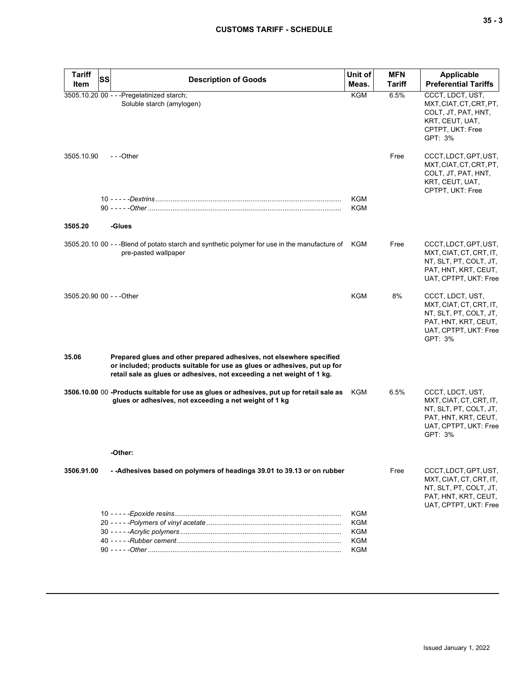| <b>Tariff</b><br><b>SS</b><br>Item | <b>Description of Goods</b>                                                                                                                                                                                                | Unit of<br>Meas.  | <b>MFN</b><br><b>Tariff</b> | Applicable<br><b>Preferential Tariffs</b>                                                                                         |
|------------------------------------|----------------------------------------------------------------------------------------------------------------------------------------------------------------------------------------------------------------------------|-------------------|-----------------------------|-----------------------------------------------------------------------------------------------------------------------------------|
|                                    | 3505.10.20 00 - - - Pregelatinized starch;<br>Soluble starch (amylogen)                                                                                                                                                    | <b>KGM</b>        | 6.5%                        | CCCT, LDCT, UST,<br>MXT, CIAT, CT, CRT, PT,<br>COLT, JT, PAT, HNT,<br>KRT, CEUT, UAT,<br>CPTPT, UKT: Free<br>GPT: 3%              |
| 3505.10.90                         | ---Other                                                                                                                                                                                                                   |                   | Free                        | CCCT, LDCT, GPT, UST,<br>MXT, CIAT, CT, CRT, PT,<br>COLT, JT, PAT, HNT,<br>KRT, CEUT, UAT,<br>CPTPT, UKT: Free                    |
|                                    |                                                                                                                                                                                                                            | <b>KGM</b><br>KGM |                             |                                                                                                                                   |
| 3505.20                            | -Glues                                                                                                                                                                                                                     |                   |                             |                                                                                                                                   |
|                                    | 3505.20.10 00 - --Blend of potato starch and synthetic polymer for use in the manufacture of KGM<br>pre-pasted wallpaper                                                                                                   |                   | Free                        | CCCT, LDCT, GPT, UST,<br>MXT, CIAT, CT, CRT, IT,<br>NT, SLT, PT, COLT, JT,<br>PAT, HNT, KRT, CEUT,<br>UAT, CPTPT, UKT: Free       |
| 3505.20.90 00 - - - Other          |                                                                                                                                                                                                                            | <b>KGM</b>        | 8%                          | CCCT, LDCT, UST,<br>MXT, CIAT, CT, CRT, IT,<br>NT, SLT, PT, COLT, JT,<br>PAT, HNT, KRT, CEUT,<br>UAT, CPTPT, UKT: Free<br>GPT: 3% |
| 35.06                              | Prepared glues and other prepared adhesives, not elsewhere specified<br>or included; products suitable for use as glues or adhesives, put up for<br>retail sale as glues or adhesives, not exceeding a net weight of 1 kg. |                   |                             |                                                                                                                                   |
|                                    | 3506.10.00 00 -Products suitable for use as glues or adhesives, put up for retail sale as<br>glues or adhesives, not exceeding a net weight of 1 kg                                                                        | KGM               | 6.5%                        | CCCT, LDCT, UST,<br>MXT, CIAT, CT, CRT, IT,<br>NT, SLT, PT, COLT, JT,<br>PAT, HNT, KRT, CEUT,<br>UAT, CPTPT, UKT: Free<br>GPT: 3% |
|                                    | -Other:                                                                                                                                                                                                                    |                   |                             |                                                                                                                                   |
| 3506.91.00                         | --Adhesives based on polymers of headings 39.01 to 39.13 or on rubber                                                                                                                                                      |                   | Free                        | CCCT, LDCT, GPT, UST,<br>MXT, CIAT, CT, CRT, IT,<br>NT, SLT, PT, COLT, JT,<br>PAT, HNT, KRT, CEUT,<br>UAT, CPTPT, UKT: Free       |